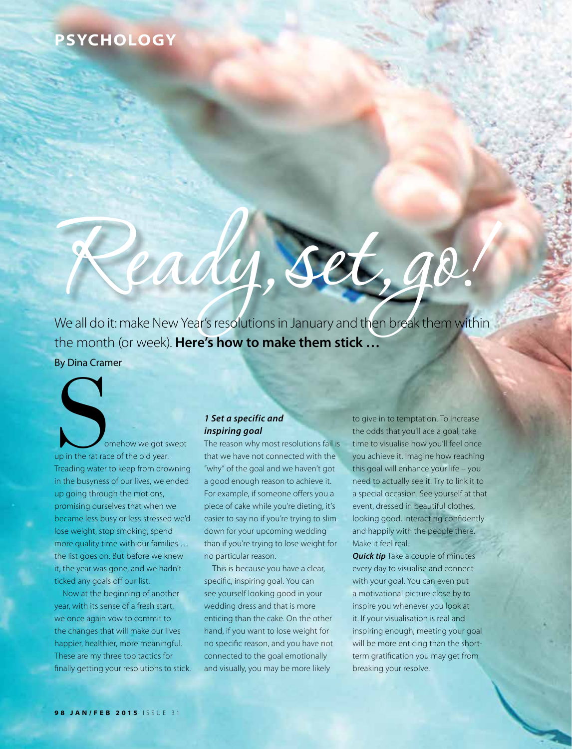## **PSYCHOLOGY**

# Ready, Set, go!<br>We all do it: make New Year's resolutions in January and then break them within

the month (or week). **Here's how to make them stick …** By Dina Cramer

Somehow we got swept<br>up in the rat race of the old year.<br>Treading water to keep from drowning up in the rat race of the old year. Treading water to keep from drowning in the busyness of our lives, we ended up going through the motions, promising ourselves that when we became less busy or less stressed we'd lose weight, stop smoking, spend more quality time with our families … the list goes on. But before we knew it, the year was gone, and we hadn't ticked any goals off our list.

Now at the beginning of another year, with its sense of a fresh start, we once again vow to commit to the changes that will make our lives happier, healthier, more meaningful. These are my three top tactics for finally getting your resolutions to stick.

### *1 Set a specific and inspiring goal*

The reason why most resolutions fail is that we have not connected with the "why" of the goal and we haven't got a good enough reason to achieve it. For example, if someone offers you a piece of cake while you're dieting, it's easier to say no if you're trying to slim down for your upcoming wedding than if you're trying to lose weight for no particular reason.

This is because you have a clear, specific, inspiring goal. You can see yourself looking good in your wedding dress and that is more enticing than the cake. On the other hand, if you want to lose weight for no specific reason, and you have not connected to the goal emotionally and visually, you may be more likely

to give in to temptation. To increase the odds that you'll ace a goal, take time to visualise how you'll feel once you achieve it. Imagine how reaching this goal will enhance your life – you need to actually see it. Try to link it to a special occasion. See yourself at that event, dressed in beautiful clothes, looking good, interacting confidently and happily with the people there. Make it feel real.

*Quick tip* Take a couple of minutes every day to visualise and connect with your goal. You can even put a motivational picture close by to inspire you whenever you look at it. If your visualisation is real and inspiring enough, meeting your goal will be more enticing than the shortterm gratification you may get from breaking your resolve.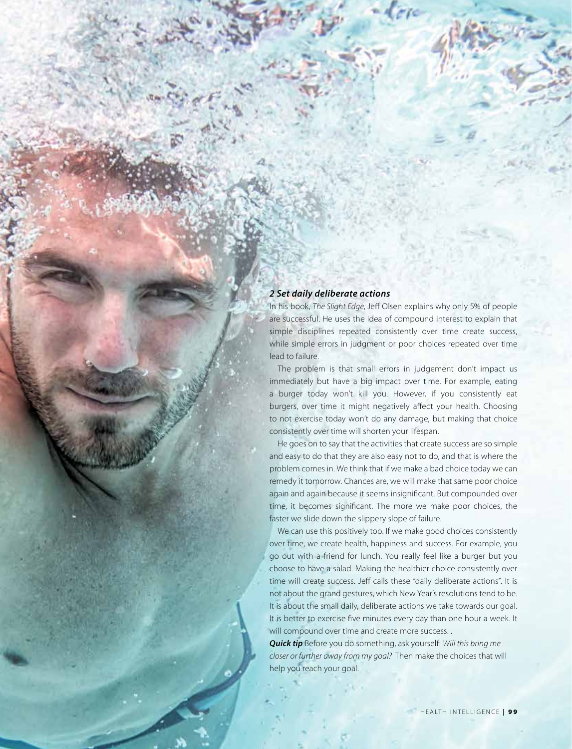#### *2 Set daily deliberate actions*

In his book, *The Slight Edge*, Jeff Olsen explains why only 5% of people are successful. He uses the idea of compound interest to explain that simple disciplines repeated consistently over time create success, while simple errors in judgment or poor choices repeated over time lead to failure.

The problem is that small errors in judgement don't impact us immediately but have a big impact over time. For example, eating a burger today won't kill you. However, if you consistently eat burgers, over time it might negatively affect your health. Choosing to not exercise today won't do any damage, but making that choice consistently over time will shorten your lifespan.

He goes on to say that the activities that create success are so simple and easy to do that they are also easy not to do, and that is where the problem comes in. We think that if we make a bad choice today we can remedy it tomorrow. Chances are, we will make that same poor choice again and again because it seems insignificant. But compounded over time, it becomes significant. The more we make poor choices, the faster we slide down the slippery slope of failure.

We can use this positively too. If we make good choices consistently over time, we create health, happiness and success. For example, you go out with a friend for lunch. You really feel like a burger but you choose to have a salad. Making the healthier choice consistently over time will create success. Jeff calls these "daily deliberate actions". It is not about the grand gestures, which New Year's resolutions tend to be. It is about the small daily, deliberate actions we take towards our goal. It is better to exercise five minutes every day than one hour a week. It will compound over time and create more success. .

*Quick tip* Before you do something, ask yourself: *Will this bring me closer or further away from my goal?* Then make the choices that will help you reach your goal.